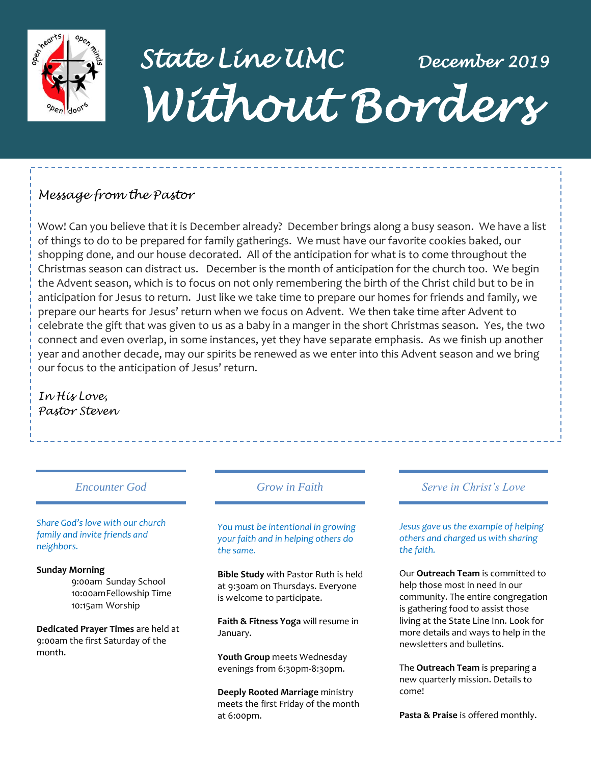

# *State Line UMC December 2019 Without Borders*

# *Message from the Pastor*

Wow! Can you believe that it is December already? December brings along a busy season. We have a list of things to do to be prepared for family gatherings. We must have our favorite cookies baked, our shopping done, and our house decorated. All of the anticipation for what is to come throughout the Christmas season can distract us. December is the month of anticipation for the church too. We begin the Advent season, which is to focus on not only remembering the birth of the Christ child but to be in anticipation for Jesus to return. Just like we take time to prepare our homes for friends and family, we prepare our hearts for Jesus' return when we focus on Advent. We then take time after Advent to celebrate the gift that was given to us as a baby in a manger in the short Christmas season. Yes, the two connect and even overlap, in some instances, yet they have separate emphasis. As we finish up another year and another decade, may our spirits be renewed as we enter into this Advent season and we bring our focus to the anticipation of Jesus' return.

*In His Love, Pastor Steven*

*Share God's love with our church family and invite friends and neighbors.*

#### **Sunday Morning**

9:00am Sunday School 10:00amFellowship Time 10:15am Worship

**Dedicated Prayer Times** are held at 9:00am the first Saturday of the month.

## *Encounter God Grow in Faith*

*You must be intentional in growing your faith and in helping others do the same.*

**Bible Study** with Pastor Ruth is held at 9:30am on Thursdays. Everyone is welcome to participate.

**Faith & Fitness Yoga** will resume in January.

**Youth Group** meets Wednesday evenings from 6:30pm-8:30pm.

**Deeply Rooted Marriage** ministry meets the first Friday of the month at 6:00pm.

## *Serve in Christ's Love*

*Jesus gave us the example of helping others and charged us with sharing the faith.*

Our **Outreach Team** is committed to help those most in need in our community. The entire congregation is gathering food to assist those living at the State Line Inn. Look for more details and ways to help in the newsletters and bulletins.

The **Outreach Team** is preparing a new quarterly mission. Details to come!

**Pasta & Praise** is offered monthly.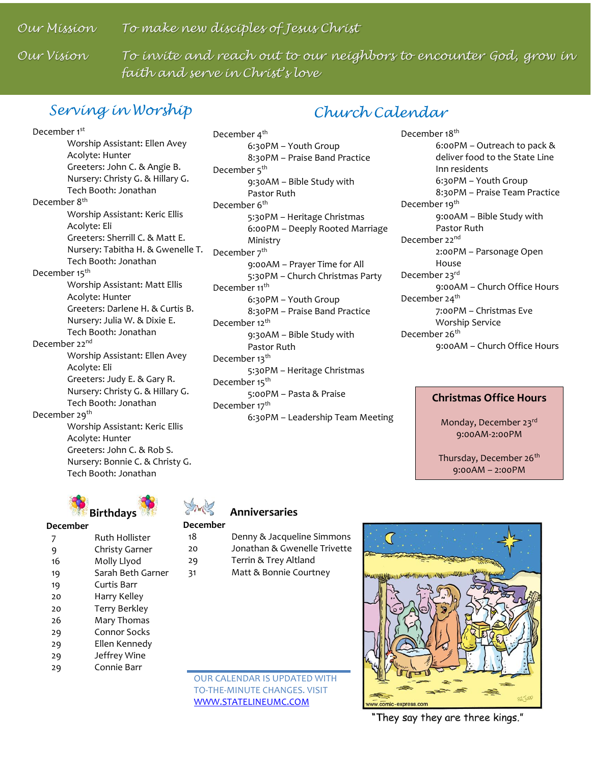*Our Mission To make new disciples of Jesus Christ*

Our Vision

To invite and reach out to our neighbors to encounter God, grow in *faith and serve in Christ's love*

# *Serving in Worship*

# *Church Calendar*

December 1<sup>st</sup> Worship Assistant: Ellen Avey Acolyte: Hunter Greeters: John C. & Angie B. Nursery: Christy G. & Hillary G. Tech Booth: Jonathan December 8<sup>th</sup> Worship Assistant: Keric Ellis Acolyte: Eli Greeters: Sherrill C. & Matt E. Nursery: Tabitha H. & Gwenelle T. Tech Booth: Jonathan December 15<sup>th</sup> Worship Assistant: Matt Ellis Acolyte: Hunter Greeters: Darlene H. & Curtis B. Nursery: Julia W. & Dixie E. Tech Booth: Jonathan December 22<sup>nd</sup> Worship Assistant: Ellen Avey Acolyte: Eli Greeters: Judy E. & Gary R. Nursery: Christy G. & Hillary G. Tech Booth: Jonathan December 29<sup>th</sup> Worship Assistant: Keric Ellis Acolyte: Hunter Greeters: John C. & Rob S.

**Birthdays**

Tech Booth: Jonathan

Nursery: Bonnie C. & Christy G.

**December**

 Ruth Hollister Christy Garner Molly Llyod Sarah Beth Garner Curtis Barr 20  $20$ Harry Kelley Terry Berkley Mary Thomas Connor Socks Ellen Kennedy Jeffrey Wine Connie Barr

December 4<sup>th</sup> 6:30PM – Youth Group 8:30PM – Praise Band Practice December 5<sup>th</sup> 9:30AM – Bible Study with Pastor Ruth December 6<sup>th</sup> 5:30PM – Heritage Christmas 6:00PM – Deeply Rooted Marriage Ministry December 7<sup>th</sup> 9:00AM – Prayer Time for All 5:30PM – Church Christmas Party December 11<sup>th</sup> 6:30PM – Youth Group 8:30PM – Praise Band Practice December 12<sup>th</sup> 9:30AM – Bible Study with Pastor Ruth December 13<sup>th</sup> 5:30PM – Heritage Christmas December 15<sup>th</sup> 5:00PM – Pasta & Praise December 17<sup>th</sup> 6:30PM – Leadership Team Meeting December 18<sup>th</sup> 6:00PM – Outreach to pack & deliver food to the State Line Inn residents 6:30PM – Youth Group 8:30PM – Praise Team Practice December 19<sup>th</sup> 9:00AM – Bible Study with Pastor Ruth December 22<sup>nd</sup> 2:00PM – Parsonage Open House December 23rd 9:00AM – Church Office Hours December 24<sup>th</sup> 7:00PM – Christmas Eve Worship Service December 26<sup>th</sup> 9:00AM – Church Office Hours

#### **Christmas Office Hours**

Monday, December 23rd 9:00AM-2:00PM

Thursday, December 26<sup>th</sup> 9:00AM – 2:00PM

 **Anniversaries**

#### **December**

 Denny & Jacqueline Simmons Jonathan & Gwenelle Trivette Terrin & Trey Altland Matt & Bonnie Courtney

OUR CALENDAR IS UPDATED WITH TO-THE-MINUTE CHANGES. VISIT [WWW.STATELINEUMC.COM](http://www.statelineumc.com/)



"They say they are three kings."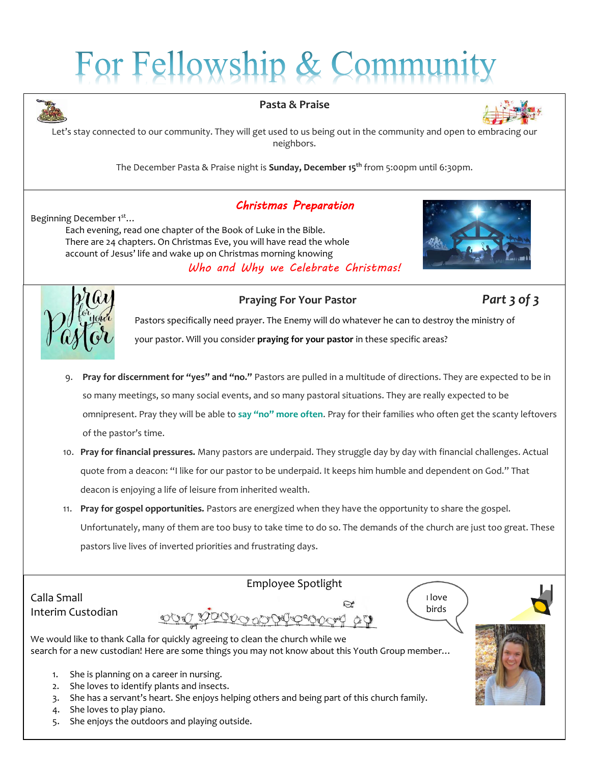# For Fellowship & Commu



#### **Pasta & Praise**



Let's stay connected to our community. They will get used to us being out in the community and open to embracing our neighbors.

The December Pasta & Praise night is **Sunday, December 15th** from 5:00pm until 6:30pm.

# *Christmas Preparation*

Beginning December 1<sup>st</sup>... Each evening, read one chapter of the Book of Luke in the Bible. There are 24 chapters. On Christmas Eve, you will have read the whole account of Jesus' life and wake up on Christmas morning knowing *Who and Why we Celebrate Christmas!*





### **Praying For Your Pastor** *Part 3 of 3*

Pastors specifically need prayer. The Enemy will do whatever he can to destroy the ministry of your pastor. Will you consider **[praying for your pastor](https://churchleaders.com/outreach-missions/outreach-missions-articles/311609-how-to-pray-for-your-pastor-ronnie-floyd.html)** in these specific areas?

- 9. **Pray for discernment for "yes" and "no."** Pastors are pulled in a multitude of directions. They are expected to be in so many meetings, so many social events, and so many pastoral situations. They are really expected to be omnipresent. Pray they will be able to **[say "no" more often](https://churchleaders.com/pastors/pastor-articles/320554-7-good-reasons-leader-say-no-ron-edmondson.html)**. Pray for their families who often get the scanty leftovers of the pastor's time.
- 10. **Pray for financial pressures.** Many pastors are underpaid. They struggle day by day with financial challenges. Actual quote from a deacon: "I like for our pastor to be underpaid. It keeps him humble and dependent on God." That deacon is enjoying a life of leisure from inherited wealth.
- 11. **Pray for gospel opportunities.** Pastors are energized when they have the opportunity to share the gospel. Unfortunately, many of them are too busy to take time to do so. The demands of the church are just too great. These pastors live lives of inverted priorities and frustrating days.

Calla Small Interim Custodian

Employee Spotlight





We would like to thank Calla for quickly agreeing to clean the church while we search for a new custodian! Here are some things you may not know about this Youth Group member...

DON YPPDO OCHRAC

- 1. She is planning on a career in nursing.
- 2. She loves to identify plants and insects.
- 3. She has a servant's heart. She enjoys helping others and being part of this church family.
- 4. She loves to play piano.
- 5. She enjoys the outdoors and playing outside.